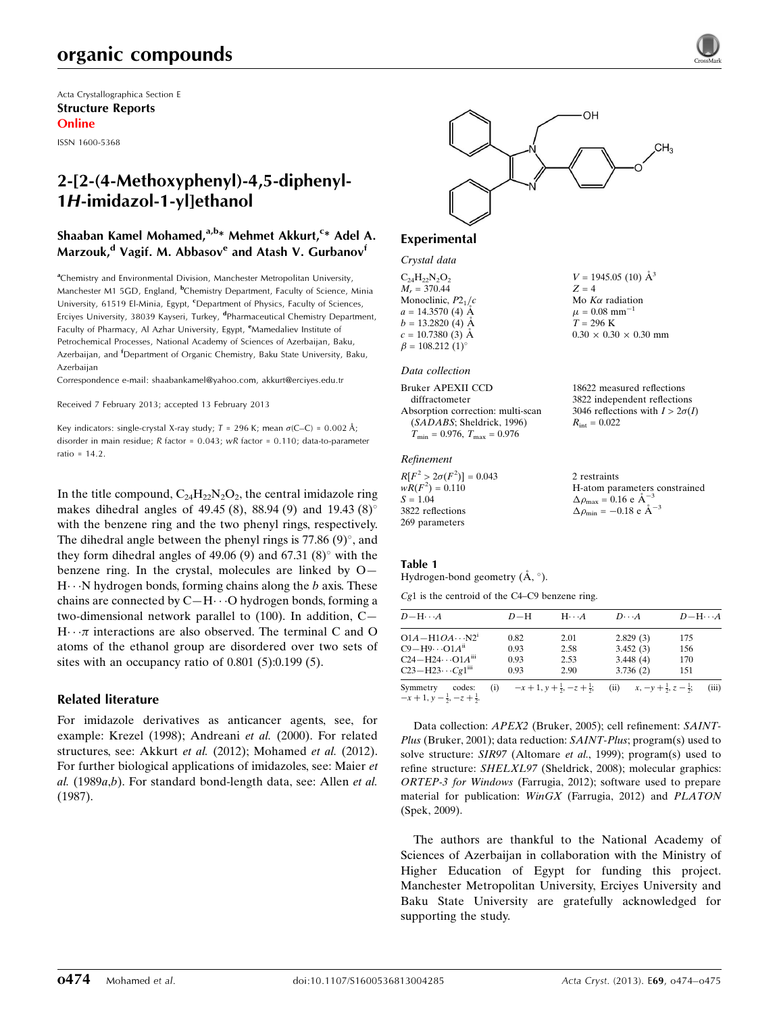# organic compounds

Acta Crystallographica Section E Structure Reports Online

ISSN 1600-5368

# 2-[2-(4-Methoxyphenyl)-4,5-diphenyl-1H-imidazol-1-yl]ethanol

### Shaaban Kamel Mohamed,<sup>a,b</sup>\* Mehmet Akkurt,<sup>c</sup>\* Adel A. Marzouk,<sup>d</sup> Vagif. M. Abbasov<sup>e</sup> and Atash V. Gurbanov<sup>f</sup>

<sup>a</sup>Chemistry and Environmental Division, Manchester Metropolitan University, Manchester M1 5GD, England, <sup>b</sup>Chemistry Department, Faculty of Science, Minia University, 61519 El-Minia, Egypt, <sup>c</sup>Department of Physics, Faculty of Sciences, Erciyes University, 38039 Kayseri, Turkey, <sup>d</sup>Pharmaceutical Chemistry Department, Faculty of Pharmacy, Al Azhar University, Egypt, <sup>e</sup>Mamedaliev Institute of Petrochemical Processes, National Academy of Sciences of Azerbaijan, Baku, Azerbaijan, and <sup>f</sup>Department of Organic Chemistry, Baku State University, Baku, Azerbaijan

Correspondence e-mail: [shaabankamel@yahoo.com, akkurt@erciyes.edu.tr](https://scripts.iucr.org/cgi-bin/cr.cgi?rm=pdfbb&cnor=su2561&bbid=BB14)

Received 7 February 2013; accepted 13 February 2013

Key indicators: single-crystal X-ray study;  $T = 296$  K; mean  $\sigma$ (C–C) = 0.002 Å; disorder in main residue; R factor = 0.043; wR factor = 0.110; data-to-parameter ratio = 14.2.

In the title compound,  $C_{24}H_{22}N_2O_2$ , the central imidazole ring makes dihedral angles of 49.45 (8), 88.94 (9) and 19.43 (8)<sup>o</sup> with the benzene ring and the two phenyl rings, respectively. The dihedral angle between the phenyl rings is  $77.86$  (9) $^{\circ}$ , and they form dihedral angles of 49.06 (9) and  $67.31$  (8) $^{\circ}$  with the benzene ring. In the crystal, molecules are linked by O—  $H \cdot \cdot N$  hydrogen bonds, forming chains along the b axis. These chains are connected by  $C-H\cdots O$  hydrogen bonds, forming a two-dimensional network parallel to (100). In addition, C—  $H \cdot \cdot \pi$  interactions are also observed. The terminal C and O atoms of the ethanol group are disordered over two sets of sites with an occupancy ratio of 0.801 (5):0.199 (5).

### Related literature

For imidazole derivatives as anticancer agents, see, for example: Krezel (1998); Andreani et al. (2000). For related structures, see: Akkurt et al. (2012); Mohamed et al. (2012). For further biological applications of imidazoles, see: Maier et  $al.$  (1989 $a,b$ ). For standard bond-length data, see: Allen et al. (1987).



 $V = 1945.05(10)$   $\AA^3$ 

 $0.30 \times 0.30 \times 0.30$  mm

18622 measured reflections 3822 independent reflections 3046 reflections with  $I > 2\sigma(I)$ 

Mo  $K\alpha$  radiation  $\mu = 0.08$  mm<sup>-1</sup>  $T = 296 \text{ K}$ 

 $R_{\text{int}} = 0.022$ 

 $Z - 4$ 

#### Experimental

#### Crystal data

 $C_{24}H_{22}N_2O_2$  $M_r = 370.44$ Monoclinic,  $P2<sub>1</sub>/c$  $a = 14.3570(4)$  Å  $b = 13.2820$  (4) Å  $c = 10.7380(3)$  Å  $\beta = 108.212 \ (1)^{\circ}$ 

#### Data collection

| Bruker APEXII CCD                       |  |
|-----------------------------------------|--|
| diffractometer                          |  |
| Absorption correction: multi-scan       |  |
| (SADABS; Sheldrick, 1996)               |  |
| $T_{\min} = 0.976$ , $T_{\max} = 0.976$ |  |

#### Refinement

 $R[F^2 > 2\sigma(F^2)] = 0.043$  $wR(F^2) = 0.110$  $S = 1.04$ 3822 reflections 269 parameters 2 restraints H-atom parameters constrained  $\Delta \rho_{\text{max}} = 0.16 \text{ e A}^{-3}$  $\Delta \rho_{\rm min} = -0.18 \text{ e A}^{-3}$ 

#### Table 1

Hydrogen-bond geometry  $(\AA, \degree)$ .

Cg1 is the centroid of the C4–C9 benzene ring.

| $D - H \cdots A$                                                    | $D-H$ | $H \cdot \cdot \cdot A$ | $D\cdots A$                                                                           | $D - H \cdots A$ |
|---------------------------------------------------------------------|-------|-------------------------|---------------------------------------------------------------------------------------|------------------|
| $O1A - H1OA \cdots N2^i$                                            | 0.82  | 2.01                    | 2.829(3)                                                                              | 175              |
| $C9 - H9 \cdots O1A^{ii}$                                           | 0.93  | 2.58                    | 3.452(3)                                                                              | 156              |
| $C24 - H24 \cdots O1A^{iii}$                                        | 0.93  | 2.53                    | 3.448(4)                                                                              | 170              |
| $C23 - H23 \cdots Cg1$ <sup>iii</sup>                               | 0.93  | 2.90                    | 3.736(2)                                                                              | 151              |
| Symmetry<br>codes:<br>$-x+1$ , $y-\frac{1}{2}$ , $-z+\frac{1}{2}$ . |       |                         | (i) $-x+1, y+\frac{1}{2}, -z+\frac{1}{2}$ ; (ii) $x, -y+\frac{1}{2}, z-\frac{1}{2}$ ; | (iii)            |

Data collection: APEX2 (Bruker, 2005); cell refinement: SAINT-Plus (Bruker, 2001); data reduction: SAINT-Plus; program(s) used to solve structure: SIR97 (Altomare et al., 1999); program(s) used to refine structure: SHELXL97 (Sheldrick, 2008); molecular graphics: ORTEP-3 for Windows (Farrugia, 2012); software used to prepare material for publication: WinGX (Farrugia, 2012) and PLATON (Spek, 2009).

The authors are thankful to the National Academy of Sciences of Azerbaijan in collaboration with the Ministry of Higher Education of Egypt for funding this project. Manchester Metropolitan University, Erciyes University and Baku State University are gratefully acknowledged for supporting the study.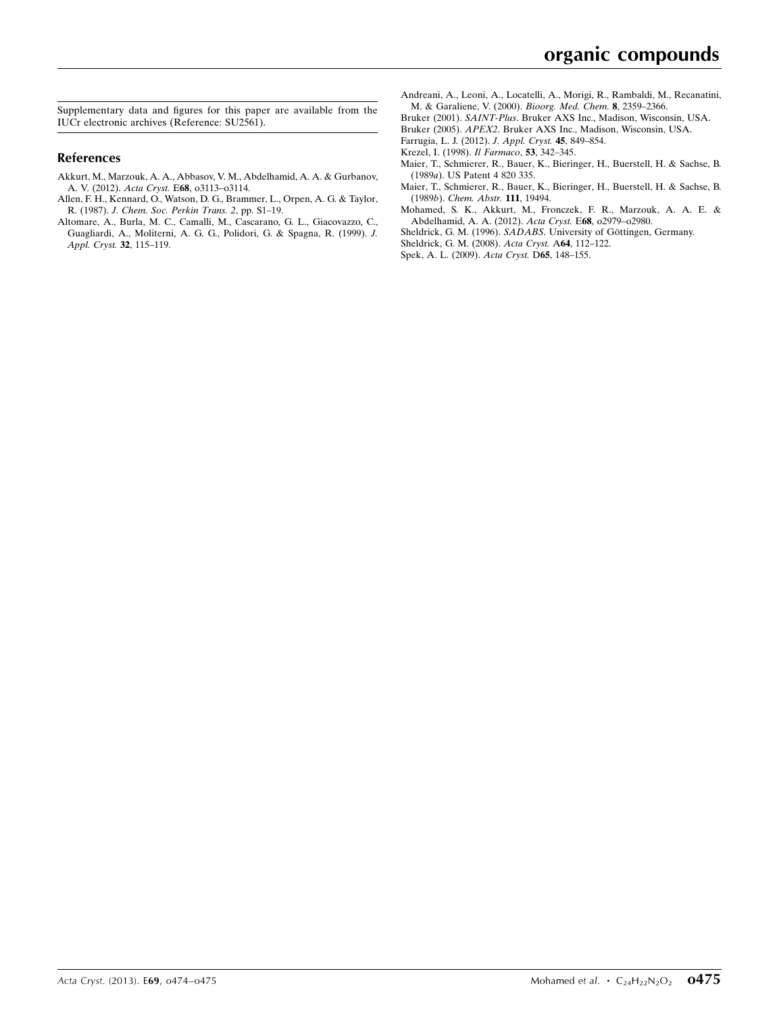Supplementary data and figures for this paper are available from the IUCr electronic archives (Reference: SU2561).

#### References

- [Akkurt, M., Marzouk, A. A., Abbasov, V. M., Abdelhamid, A. A. & Gurbanov,](https://scripts.iucr.org/cgi-bin/cr.cgi?rm=pdfbb&cnor=su2561&bbid=BB1) A. V. (2012). Acta Cryst. E68[, o3113–o3114.](https://scripts.iucr.org/cgi-bin/cr.cgi?rm=pdfbb&cnor=su2561&bbid=BB1)
- [Allen, F. H., Kennard, O., Watson, D. G., Brammer, L., Orpen, A. G. & Taylor,](https://scripts.iucr.org/cgi-bin/cr.cgi?rm=pdfbb&cnor=su2561&bbid=BB2) R. (1987). [J. Chem. Soc. Perkin Trans. 2](https://scripts.iucr.org/cgi-bin/cr.cgi?rm=pdfbb&cnor=su2561&bbid=BB2), pp. S1–19.
- [Altomare, A., Burla, M. C., Camalli, M., Cascarano, G. L., Giacovazzo, C.,](https://scripts.iucr.org/cgi-bin/cr.cgi?rm=pdfbb&cnor=su2561&bbid=BB3) [Guagliardi, A., Moliterni, A. G. G., Polidori, G. & Spagna, R. \(1999\).](https://scripts.iucr.org/cgi-bin/cr.cgi?rm=pdfbb&cnor=su2561&bbid=BB3) J. [Appl. Cryst.](https://scripts.iucr.org/cgi-bin/cr.cgi?rm=pdfbb&cnor=su2561&bbid=BB3) 32, 115–119.
- [Andreani, A., Leoni, A., Locatelli, A., Morigi, R., Rambaldi, M., Recanatini,](https://scripts.iucr.org/cgi-bin/cr.cgi?rm=pdfbb&cnor=su2561&bbid=BB4) [M. & Garaliene, V. \(2000\).](https://scripts.iucr.org/cgi-bin/cr.cgi?rm=pdfbb&cnor=su2561&bbid=BB4) Bioorg. Med. Chem. 8, 2359–2366.
- Bruker (2001). SAINT-Plus[. Bruker AXS Inc., Madison, Wisconsin, USA.](https://scripts.iucr.org/cgi-bin/cr.cgi?rm=pdfbb&cnor=su2561&bbid=BB5)
- Bruker (2005). APEX2[. Bruker AXS Inc., Madison, Wisconsin, USA.](https://scripts.iucr.org/cgi-bin/cr.cgi?rm=pdfbb&cnor=su2561&bbid=BB6)
- [Farrugia, L. J. \(2012\).](https://scripts.iucr.org/cgi-bin/cr.cgi?rm=pdfbb&cnor=su2561&bbid=BB7) J. Appl. Cryst. 45, 849–854.
- [Krezel, I. \(1998\).](https://scripts.iucr.org/cgi-bin/cr.cgi?rm=pdfbb&cnor=su2561&bbid=BB8) Il Farmaco, 53, 342–345.
- [Maier, T., Schmierer, R., Bauer, K., Bieringer, H., Buerstell, H. & Sachse, B.](https://scripts.iucr.org/cgi-bin/cr.cgi?rm=pdfbb&cnor=su2561&bbid=BB9) (1989a[\). US Patent 4 820 335.](https://scripts.iucr.org/cgi-bin/cr.cgi?rm=pdfbb&cnor=su2561&bbid=BB9)
- [Maier, T., Schmierer, R., Bauer, K., Bieringer, H., Buerstell, H. & Sachse, B.](https://scripts.iucr.org/cgi-bin/cr.cgi?rm=pdfbb&cnor=su2561&bbid=BB10) (1989b). [Chem. Abstr.](https://scripts.iucr.org/cgi-bin/cr.cgi?rm=pdfbb&cnor=su2561&bbid=BB10) 111, 19494.
- [Mohamed, S. K., Akkurt, M., Fronczek, F. R., Marzouk, A. A. E. &](https://scripts.iucr.org/cgi-bin/cr.cgi?rm=pdfbb&cnor=su2561&bbid=BB11) [Abdelhamid, A. A. \(2012\).](https://scripts.iucr.org/cgi-bin/cr.cgi?rm=pdfbb&cnor=su2561&bbid=BB11) Acta Cryst. E68, o2979–o2980.
- Sheldrick, G. M. (1996). SADABS. University of Göttingen, Germany.
- [Sheldrick, G. M. \(2008\).](https://scripts.iucr.org/cgi-bin/cr.cgi?rm=pdfbb&cnor=su2561&bbid=BB13) Acta Cryst. A64, 112–122.
- [Spek, A. L. \(2009\).](https://scripts.iucr.org/cgi-bin/cr.cgi?rm=pdfbb&cnor=su2561&bbid=BB14) Acta Cryst. D65, 148–155.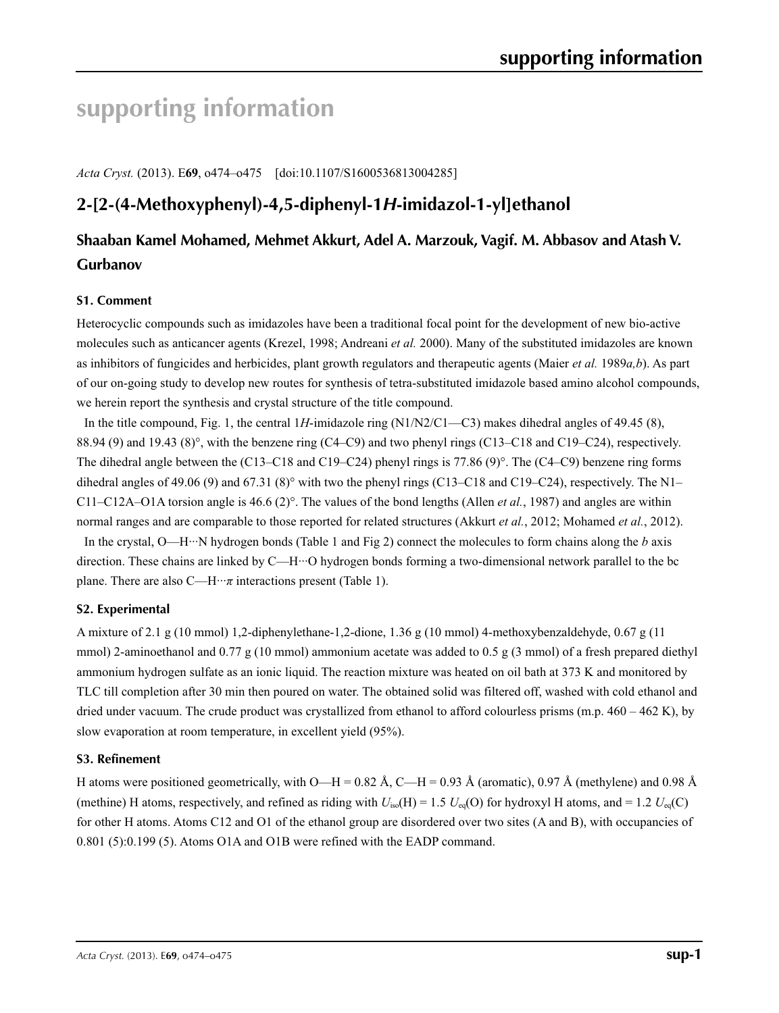# **supporting information**

*Acta Cryst.* (2013). E**69**, o474–o475 [doi:10.1107/S1600536813004285]

# **2-[2-(4-Methoxyphenyl)-4,5-diphenyl-1***H***-imidazol-1-yl]ethanol**

# **Shaaban Kamel Mohamed, Mehmet Akkurt, Adel A. Marzouk, Vagif. M. Abbasov and Atash V. Gurbanov**

### **S1. Comment**

Heterocyclic compounds such as imidazoles have been a traditional focal point for the development of new bio-active molecules such as anticancer agents (Krezel, 1998; Andreani *et al.* 2000). Many of the substituted imidazoles are known as inhibitors of fungicides and herbicides, plant growth regulators and therapeutic agents (Maier *et al.* 1989*a,b*). As part of our on-going study to develop new routes for synthesis of tetra-substituted imidazole based amino alcohol compounds, we herein report the synthesis and crystal structure of the title compound.

In the title compound, Fig. 1, the central 1*H*-imidazole ring (N1/N2/C1—C3) makes dihedral angles of 49.45 (8), 88.94 (9) and 19.43 (8)°, with the benzene ring (C4–C9) and two phenyl rings (C13–C18 and C19–C24), respectively. The dihedral angle between the (C13–C18 and C19–C24) phenyl rings is 77.86 (9)°. The (C4–C9) benzene ring forms dihedral angles of 49.06 (9) and 67.31 (8)° with two the phenyl rings (C13–C18 and C19–C24), respectively. The N1– C11–C12A–O1A torsion angle is  $46.6$  (2)<sup>o</sup>. The values of the bond lengths (Allen *et al.*, 1987) and angles are within normal ranges and are comparable to those reported for related structures (Akkurt *et al.*, 2012; Mohamed *et al.*, 2012).

In the crystal, O—H···N hydrogen bonds (Table 1 and Fig 2) connect the molecules to form chains along the *b* axis direction. These chains are linked by C—H···O hydrogen bonds forming a two-dimensional network parallel to the bc plane. There are also C—H···*π* interactions present (Table 1).

### **S2. Experimental**

A mixture of 2.1 g (10 mmol) 1,2-diphenylethane-1,2-dione, 1.36 g (10 mmol) 4-methoxybenzaldehyde, 0.67 g (11 mmol) 2-aminoethanol and 0.77 g (10 mmol) ammonium acetate was added to 0.5 g (3 mmol) of a fresh prepared diethyl ammonium hydrogen sulfate as an ionic liquid. The reaction mixture was heated on oil bath at 373 K and monitored by TLC till completion after 30 min then poured on water. The obtained solid was filtered off, washed with cold ethanol and dried under vacuum. The crude product was crystallized from ethanol to afford colourless prisms (m.p.  $460 - 462$  K), by slow evaporation at room temperature, in excellent yield (95%).

### **S3. Refinement**

H atoms were positioned geometrically, with O—H = 0.82 Å, C—H = 0.93 Å (aromatic), 0.97 Å (methylene) and 0.98 Å (methine) H atoms, respectively, and refined as riding with  $U_{iso}(H) = 1.5$   $U_{eq}(O)$  for hydroxyl H atoms, and = 1.2  $U_{eq}(C)$ for other H atoms. Atoms C12 and O1 of the ethanol group are disordered over two sites (A and B), with occupancies of 0.801 (5):0.199 (5). Atoms O1A and O1B were refined with the EADP command.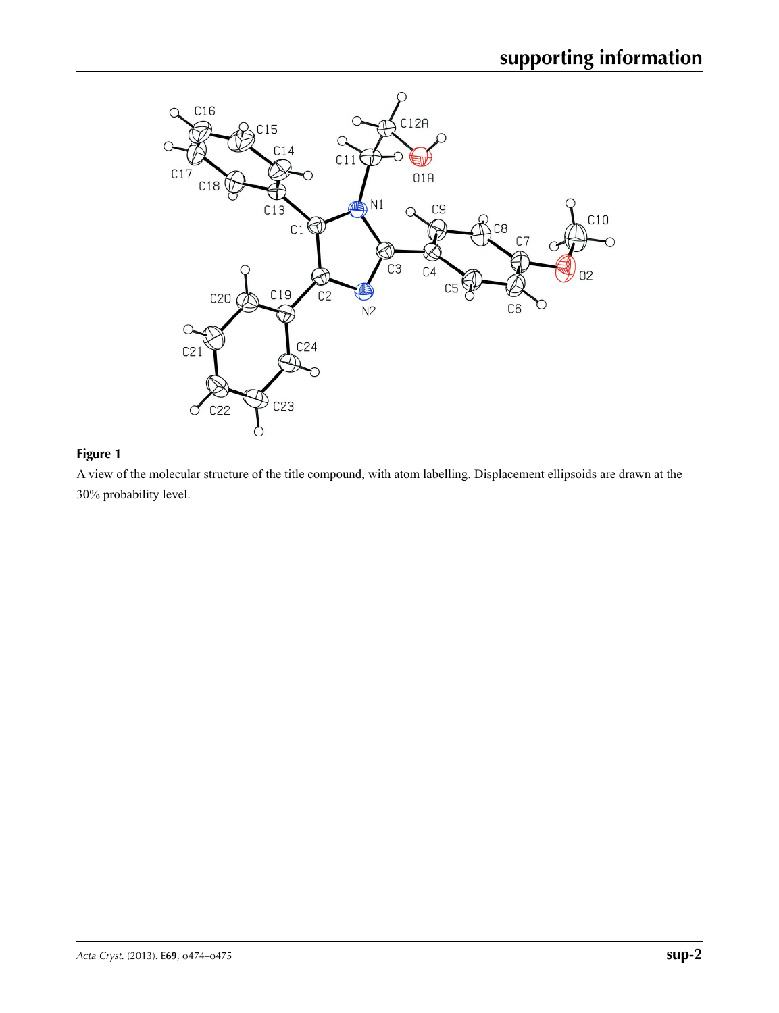

### **Figure 1**

A view of the molecular structure of the title compound, with atom labelling. Displacement ellipsoids are drawn at the 30% probability level.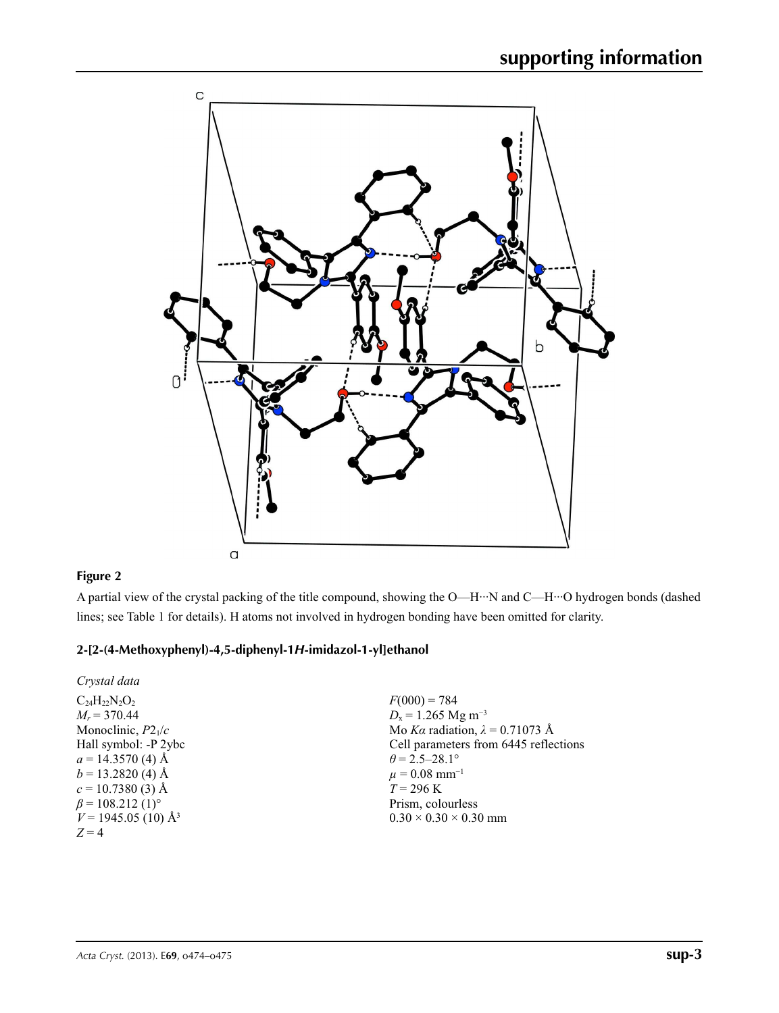

### **Figure 2**

A partial view of the crystal packing of the title compound, showing the O—H···N and C—H···O hydrogen bonds (dashed lines; see Table 1 for details). H atoms not involved in hydrogen bonding have been omitted for clarity.

### **2-[2-(4-Methoxyphenyl)-4,5-diphenyl-1***H***-imidazol-1-yl]ethanol**

*Crystal data*

 $C_{24}H_{22}N_{2}O_{2}$  $M_r = 370.44$ Monoclinic, *P*21/*c* Hall symbol: -P 2ybc  $a = 14.3570(4)$  Å  $b = 13.2820$  (4) Å  $c = 10.7380(3)$  Å  $\beta$  = 108.212 (1)<sup>o</sup>  $V = 1945.05(10)$  Å<sup>3</sup> *Z* = 4

 $F(000) = 784$  $D_x = 1.265$  Mg m<sup>-3</sup> Mo *Kα* radiation, *λ* = 0.71073 Å Cell parameters from 6445 reflections  $\theta$  = 2.5–28.1°  $\mu = 0.08$  mm<sup>-1</sup>  $T = 296 \text{ K}$ Prism, colourless  $0.30 \times 0.30 \times 0.30$  mm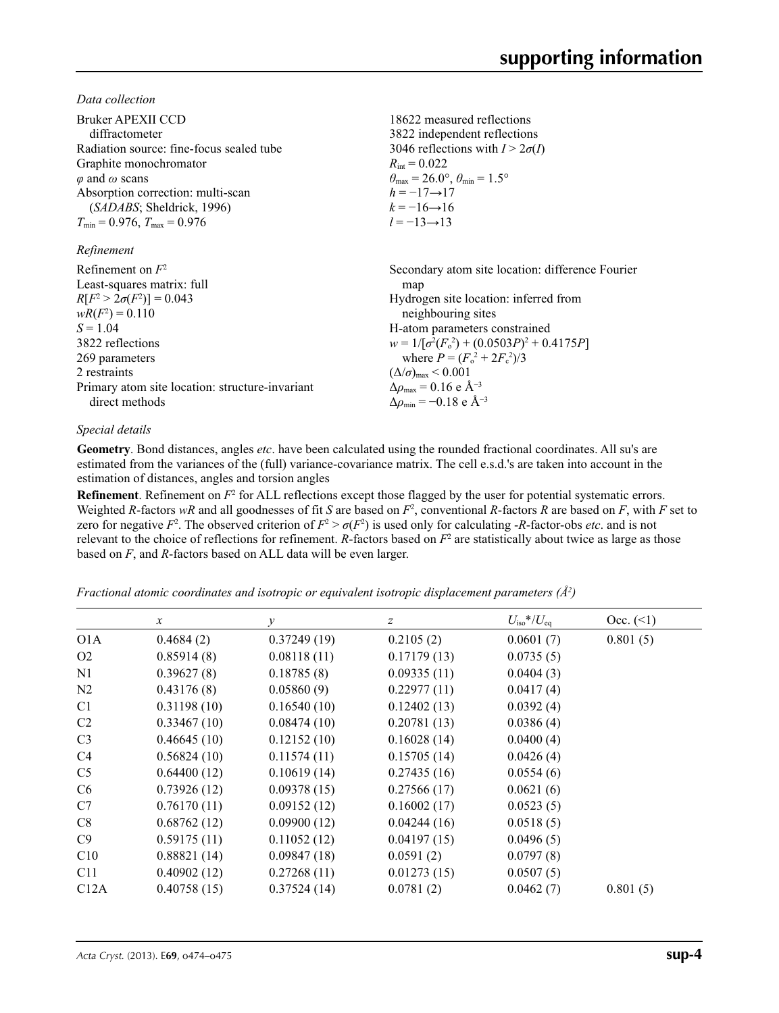*Data collection*

| Bruker APEXII CCD<br>diffractometer<br>Radiation source: fine-focus sealed tube<br>Graphite monochromator<br>$\varphi$ and $\omega$ scans<br>Absorption correction: multi-scan<br>( <i>SADABS</i> ; Sheldrick, 1996)<br>$T_{\min}$ = 0.976, $T_{\max}$ = 0.976<br>Refinement | 18622 measured reflections<br>3822 independent reflections<br>3046 reflections with $I > 2\sigma(I)$<br>$R_{\rm int} = 0.022$<br>$\theta_{\text{max}} = 26.0^{\circ}, \theta_{\text{min}} = 1.5^{\circ}$<br>$h = -17 \rightarrow 17$<br>$k = -16 \rightarrow 16$<br>$l = -13 \rightarrow 13$ |
|------------------------------------------------------------------------------------------------------------------------------------------------------------------------------------------------------------------------------------------------------------------------------|----------------------------------------------------------------------------------------------------------------------------------------------------------------------------------------------------------------------------------------------------------------------------------------------|
| Refinement on $F^2$                                                                                                                                                                                                                                                          | Secondary atom site location: difference Fourier                                                                                                                                                                                                                                             |
| Least-squares matrix: full                                                                                                                                                                                                                                                   | map                                                                                                                                                                                                                                                                                          |
| $R[F^2 > 2\sigma(F^2)] = 0.043$                                                                                                                                                                                                                                              | Hydrogen site location: inferred from                                                                                                                                                                                                                                                        |
| $wR(F^2) = 0.110$                                                                                                                                                                                                                                                            | neighbouring sites                                                                                                                                                                                                                                                                           |
| $S = 1.04$                                                                                                                                                                                                                                                                   | H-atom parameters constrained                                                                                                                                                                                                                                                                |
| 3822 reflections                                                                                                                                                                                                                                                             | $w = 1/[\sigma^2(F_0^2) + (0.0503P)^2 + 0.4175P]$                                                                                                                                                                                                                                            |
| 269 parameters                                                                                                                                                                                                                                                               | where $P = (F_0^2 + 2F_c^2)/3$                                                                                                                                                                                                                                                               |
| 2 restraints                                                                                                                                                                                                                                                                 | $(\Delta/\sigma)_{\text{max}}$ < 0.001                                                                                                                                                                                                                                                       |
| Primary atom site location: structure-invariant                                                                                                                                                                                                                              | $\Delta\rho_{\rm max} = 0.16 \text{ e } \text{\AA}^{-3}$                                                                                                                                                                                                                                     |
| direct methods                                                                                                                                                                                                                                                               | $\Delta\rho_{\rm min} = -0.18$ e Å <sup>-3</sup>                                                                                                                                                                                                                                             |

### *Special details*

**Geometry**. Bond distances, angles *etc*. have been calculated using the rounded fractional coordinates. All su's are estimated from the variances of the (full) variance-covariance matrix. The cell e.s.d.'s are taken into account in the estimation of distances, angles and torsion angles

**Refinement**. Refinement on  $F^2$  for ALL reflections except those flagged by the user for potential systematic errors. Weighted *R*-factors  $wR$  and all goodnesses of fit *S* are based on  $F^2$ , conventional *R*-factors *R* are based on *F*, with *F* set to zero for negative  $F^2$ . The observed criterion of  $F^2 > \sigma(F^2)$  is used only for calculating -*R*-factor-obs *etc*. and is not relevant to the choice of reflections for refinement.  $R$ -factors based on  $F<sup>2</sup>$  are statistically about twice as large as those based on *F*, and *R*-factors based on ALL data will be even larger.

*Fractional atomic coordinates and isotropic or equivalent isotropic displacement parameters (Å<sup>2</sup>)* 

|                  | $\mathcal{X}$ | $\mathcal{Y}$ | $\boldsymbol{Z}$ | $U_{\rm iso}$ */ $U_{\rm eq}$ | Occ. (2) |
|------------------|---------------|---------------|------------------|-------------------------------|----------|
| O <sub>1</sub> A | 0.4684(2)     | 0.37249(19)   | 0.2105(2)        | 0.0601(7)                     | 0.801(5) |
| O <sub>2</sub>   | 0.85914(8)    | 0.08118(11)   | 0.17179(13)      | 0.0735(5)                     |          |
| N1               | 0.39627(8)    | 0.18785(8)    | 0.09335(11)      | 0.0404(3)                     |          |
| N <sub>2</sub>   | 0.43176(8)    | 0.05860(9)    | 0.22977(11)      | 0.0417(4)                     |          |
| C <sub>1</sub>   | 0.31198(10)   | 0.16540(10)   | 0.12402(13)      | 0.0392(4)                     |          |
| C <sub>2</sub>   | 0.33467(10)   | 0.08474(10)   | 0.20781(13)      | 0.0386(4)                     |          |
| C <sub>3</sub>   | 0.46645(10)   | 0.12152(10)   | 0.16028(14)      | 0.0400(4)                     |          |
| C <sub>4</sub>   | 0.56824(10)   | 0.11574(11)   | 0.15705(14)      | 0.0426(4)                     |          |
| C <sub>5</sub>   | 0.64400(12)   | 0.10619(14)   | 0.27435(16)      | 0.0554(6)                     |          |
| C <sub>6</sub>   | 0.73926(12)   | 0.09378(15)   | 0.27566(17)      | 0.0621(6)                     |          |
| C7               | 0.76170(11)   | 0.09152(12)   | 0.16002(17)      | 0.0523(5)                     |          |
| C8               | 0.68762(12)   | 0.09900(12)   | 0.04244(16)      | 0.0518(5)                     |          |
| C9               | 0.59175(11)   | 0.11052(12)   | 0.04197(15)      | 0.0496(5)                     |          |
| C10              | 0.88821(14)   | 0.09847(18)   | 0.0591(2)        | 0.0797(8)                     |          |
| C11              | 0.40902(12)   | 0.27268(11)   | 0.01273(15)      | 0.0507(5)                     |          |
| C12A             | 0.40758(15)   | 0.37524(14)   | 0.0781(2)        | 0.0462(7)                     | 0.801(5) |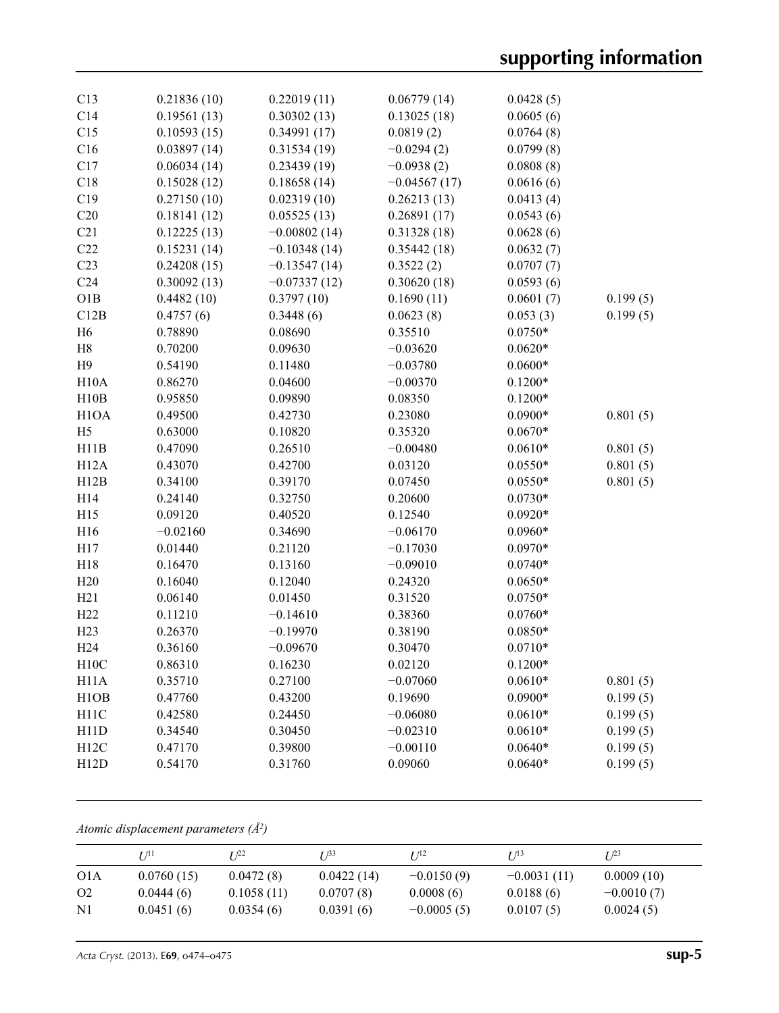| C13               | 0.21836(10) | 0.22019(11)    | 0.06779(14)    | 0.0428(5) |          |
|-------------------|-------------|----------------|----------------|-----------|----------|
| C14               | 0.19561(13) | 0.30302(13)    | 0.13025(18)    | 0.0605(6) |          |
| C15               | 0.10593(15) | 0.34991(17)    | 0.0819(2)      | 0.0764(8) |          |
| C16               | 0.03897(14) | 0.31534(19)    | $-0.0294(2)$   | 0.0799(8) |          |
| C17               | 0.06034(14) | 0.23439(19)    | $-0.0938(2)$   | 0.0808(8) |          |
| C18               | 0.15028(12) | 0.18658(14)    | $-0.04567(17)$ | 0.0616(6) |          |
| C19               | 0.27150(10) | 0.02319(10)    | 0.26213(13)    | 0.0413(4) |          |
| C20               | 0.18141(12) | 0.05525(13)    | 0.26891(17)    | 0.0543(6) |          |
| C21               | 0.12225(13) | $-0.00802(14)$ | 0.31328(18)    | 0.0628(6) |          |
| C22               | 0.15231(14) | $-0.10348(14)$ | 0.35442(18)    | 0.0632(7) |          |
| C <sub>23</sub>   | 0.24208(15) | $-0.13547(14)$ | 0.3522(2)      | 0.0707(7) |          |
| C <sub>24</sub>   | 0.30092(13) | $-0.07337(12)$ | 0.30620(18)    | 0.0593(6) |          |
| O1B               | 0.4482(10)  | 0.3797(10)     | 0.1690(11)     | 0.0601(7) | 0.199(5) |
| C12B              | 0.4757(6)   | 0.3448(6)      | 0.0623(8)      | 0.053(3)  | 0.199(5) |
| H <sub>6</sub>    | 0.78890     | 0.08690        | 0.35510        | $0.0750*$ |          |
| $\rm H8$          | 0.70200     | 0.09630        | $-0.03620$     | $0.0620*$ |          |
| H9                | 0.54190     | 0.11480        | $-0.03780$     | $0.0600*$ |          |
| H10A              | 0.86270     | 0.04600        | $-0.00370$     | $0.1200*$ |          |
| H10B              | 0.95850     | 0.09890        | 0.08350        | $0.1200*$ |          |
| H <sub>1</sub> OA | 0.49500     | 0.42730        | 0.23080        | $0.0900*$ | 0.801(5) |
| H <sub>5</sub>    | 0.63000     | 0.10820        | 0.35320        | $0.0670*$ |          |
| H11B              | 0.47090     | 0.26510        | $-0.00480$     | $0.0610*$ | 0.801(5) |
| H12A              | 0.43070     | 0.42700        | 0.03120        | $0.0550*$ | 0.801(5) |
| H12B              | 0.34100     | 0.39170        | 0.07450        | $0.0550*$ | 0.801(5) |
| H14               | 0.24140     | 0.32750        | 0.20600        | $0.0730*$ |          |
| H15               | 0.09120     | 0.40520        | 0.12540        | $0.0920*$ |          |
| H16               | $-0.02160$  | 0.34690        | $-0.06170$     | $0.0960*$ |          |
| H17               | 0.01440     | 0.21120        | $-0.17030$     | $0.0970*$ |          |
| H18               | 0.16470     | 0.13160        | $-0.09010$     | $0.0740*$ |          |
| H20               | 0.16040     | 0.12040        | 0.24320        | $0.0650*$ |          |
| H21               | 0.06140     | 0.01450        | 0.31520        | $0.0750*$ |          |
| H <sub>22</sub>   | 0.11210     | $-0.14610$     | 0.38360        | $0.0760*$ |          |
| H23               | 0.26370     | $-0.19970$     | 0.38190        | $0.0850*$ |          |
| H <sub>24</sub>   | 0.36160     | $-0.09670$     | 0.30470        | $0.0710*$ |          |
| H10C              | 0.86310     | 0.16230        | 0.02120        | $0.1200*$ |          |
| H11A              | 0.35710     | 0.27100        | $-0.07060$     | $0.0610*$ | 0.801(5) |
| H <sub>1</sub> OB | 0.47760     | 0.43200        | 0.19690        | $0.0900*$ | 0.199(5) |
| H11C              | 0.42580     | 0.24450        | $-0.06080$     | $0.0610*$ | 0.199(5) |
| H11D              | 0.34540     | 0.30450        | $-0.02310$     | $0.0610*$ | 0.199(5) |
| H12C              | 0.47170     | 0.39800        | $-0.00110$     | $0.0640*$ | 0.199(5) |
| H12D              | 0.54170     | 0.31760        | 0.09060        | $0.0640*$ | 0.199(5) |
|                   |             |                |                |           |          |

*Atomic displacement parameters (Å2 )*

|                  | I/11       | T 122      | T 133      | $I^{12}$     | $I^{13}$      | $I^{23}$     |
|------------------|------------|------------|------------|--------------|---------------|--------------|
| O <sub>1</sub> A | 0.0760(15) | 0.0472(8)  | 0.0422(14) | $-0.0150(9)$ | $-0.0031(11)$ | 0.0009(10)   |
| O <sub>2</sub>   | 0.0444(6)  | 0.1058(11) | 0.0707(8)  | 0.0008(6)    | 0.0188(6)     | $-0.0010(7)$ |
| N1               | 0.0451(6)  | 0.0354(6)  | 0.0391(6)  | $-0.0005(5)$ | 0.0107(5)     | 0.0024(5)    |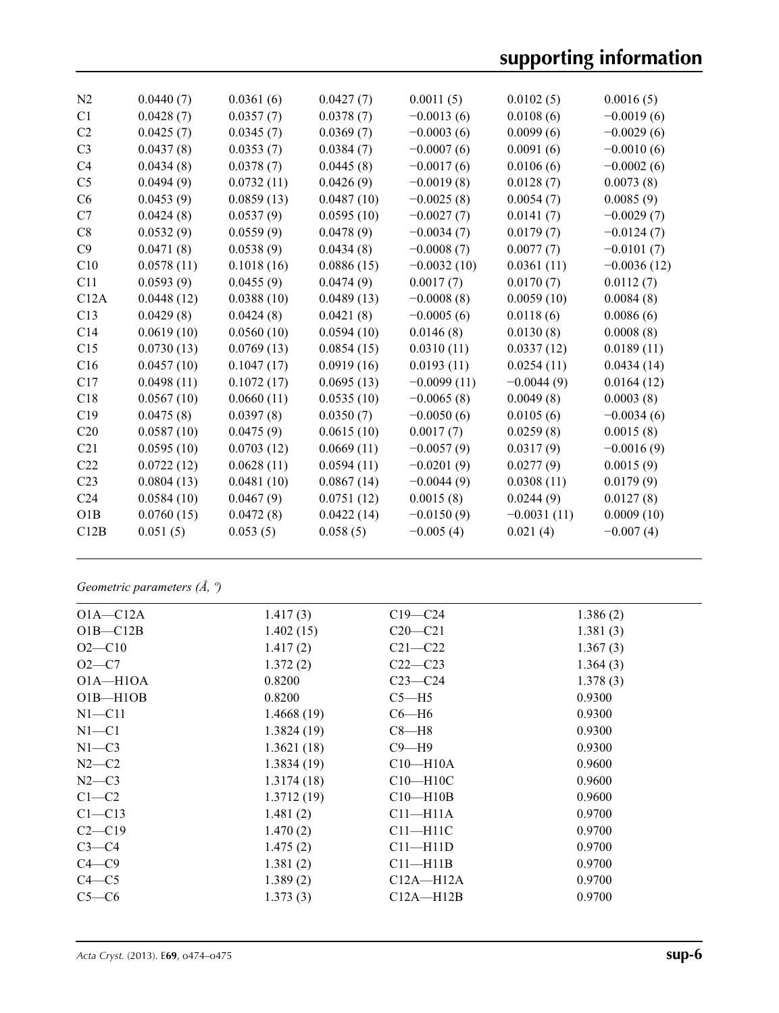# **supporting information**

| N <sub>2</sub>  | 0.0440(7)  | 0.0361(6)  | 0.0427(7)  | 0.0011(5)     | 0.0102(5)     | 0.0016(5)     |
|-----------------|------------|------------|------------|---------------|---------------|---------------|
| C1              | 0.0428(7)  | 0.0357(7)  | 0.0378(7)  | $-0.0013(6)$  | 0.0108(6)     | $-0.0019(6)$  |
| C <sub>2</sub>  | 0.0425(7)  | 0.0345(7)  | 0.0369(7)  | $-0.0003(6)$  | 0.0099(6)     | $-0.0029(6)$  |
| C <sub>3</sub>  | 0.0437(8)  | 0.0353(7)  | 0.0384(7)  | $-0.0007(6)$  | 0.0091(6)     | $-0.0010(6)$  |
| C <sub>4</sub>  | 0.0434(8)  | 0.0378(7)  | 0.0445(8)  | $-0.0017(6)$  | 0.0106(6)     | $-0.0002(6)$  |
| C <sub>5</sub>  | 0.0494(9)  | 0.0732(11) | 0.0426(9)  | $-0.0019(8)$  | 0.0128(7)     | 0.0073(8)     |
| C6              | 0.0453(9)  | 0.0859(13) | 0.0487(10) | $-0.0025(8)$  | 0.0054(7)     | 0.0085(9)     |
| C7              | 0.0424(8)  | 0.0537(9)  | 0.0595(10) | $-0.0027(7)$  | 0.0141(7)     | $-0.0029(7)$  |
| C8              | 0.0532(9)  | 0.0559(9)  | 0.0478(9)  | $-0.0034(7)$  | 0.0179(7)     | $-0.0124(7)$  |
| C9              | 0.0471(8)  | 0.0538(9)  | 0.0434(8)  | $-0.0008(7)$  | 0.0077(7)     | $-0.0101(7)$  |
| C10             | 0.0578(11) | 0.1018(16) | 0.0886(15) | $-0.0032(10)$ | 0.0361(11)    | $-0.0036(12)$ |
| C11             | 0.0593(9)  | 0.0455(9)  | 0.0474(9)  | 0.0017(7)     | 0.0170(7)     | 0.0112(7)     |
| C12A            | 0.0448(12) | 0.0388(10) | 0.0489(13) | $-0.0008(8)$  | 0.0059(10)    | 0.0084(8)     |
| C13             | 0.0429(8)  | 0.0424(8)  | 0.0421(8)  | $-0.0005(6)$  | 0.0118(6)     | 0.0086(6)     |
| C <sub>14</sub> | 0.0619(10) | 0.0560(10) | 0.0594(10) | 0.0146(8)     | 0.0130(8)     | 0.0008(8)     |
| C15             | 0.0730(13) | 0.0769(13) | 0.0854(15) | 0.0310(11)    | 0.0337(12)    | 0.0189(11)    |
| C16             | 0.0457(10) | 0.1047(17) | 0.0919(16) | 0.0193(11)    | 0.0254(11)    | 0.0434(14)    |
| C17             | 0.0498(11) | 0.1072(17) | 0.0695(13) | $-0.0099(11)$ | $-0.0044(9)$  | 0.0164(12)    |
| C18             | 0.0567(10) | 0.0660(11) | 0.0535(10) | $-0.0065(8)$  | 0.0049(8)     | 0.0003(8)     |
| C19             | 0.0475(8)  | 0.0397(8)  | 0.0350(7)  | $-0.0050(6)$  | 0.0105(6)     | $-0.0034(6)$  |
| C20             | 0.0587(10) | 0.0475(9)  | 0.0615(10) | 0.0017(7)     | 0.0259(8)     | 0.0015(8)     |
| C21             | 0.0595(10) | 0.0703(12) | 0.0669(11) | $-0.0057(9)$  | 0.0317(9)     | $-0.0016(9)$  |
| C22             | 0.0722(12) | 0.0628(11) | 0.0594(11) | $-0.0201(9)$  | 0.0277(9)     | 0.0015(9)     |
| C <sub>23</sub> | 0.0804(13) | 0.0481(10) | 0.0867(14) | $-0.0044(9)$  | 0.0308(11)    | 0.0179(9)     |
| C <sub>24</sub> | 0.0584(10) | 0.0467(9)  | 0.0751(12) | 0.0015(8)     | 0.0244(9)     | 0.0127(8)     |
| O1B             | 0.0760(15) | 0.0472(8)  | 0.0422(14) | $-0.0150(9)$  | $-0.0031(11)$ | 0.0009(10)    |
| C12B            | 0.051(5)   | 0.053(5)   | 0.058(5)   | $-0.005(4)$   | 0.021(4)      | $-0.007(4)$   |
|                 |            |            |            |               |               |               |

## *Geometric parameters (Å, º)*

| $O1A - C12A$ | 1.417(3)   | $C19 - C24$    | 1.386(2) |
|--------------|------------|----------------|----------|
| $O1B - C12B$ | 1.402(15)  | $C20 - C21$    | 1.381(3) |
| $O2 - C10$   | 1.417(2)   | $C21 - C22$    | 1.367(3) |
| $O2 - C7$    | 1.372(2)   | $C22-C23$      | 1.364(3) |
| $O1A - H1OA$ | 0.8200     | $C23-C24$      | 1.378(3) |
| $O1B - H1OB$ | 0.8200     | $C5 - H5$      | 0.9300   |
| $N1 - C11$   | 1.4668(19) | $C6 - H6$      | 0.9300   |
| $N1 - C1$    | 1.3824(19) | $C8 - H8$      | 0.9300   |
| $N1 - C3$    | 1.3621(18) | $C9 - H9$      | 0.9300   |
| $N2-C2$      | 1.3834(19) | $C10 - H10A$   | 0.9600   |
| $N2-C3$      | 1.3174(18) | $C10 - H10C$   | 0.9600   |
| $C1-C2$      | 1.3712(19) | $C10$ —H $10B$ | 0.9600   |
| $C1 - C13$   | 1.481(2)   | $C11 - H11A$   | 0.9700   |
| $C2-C19$     | 1.470(2)   | $C11 - H11C$   | 0.9700   |
| $C3-C4$      | 1.475(2)   | $C11 - H11D$   | 0.9700   |
| $C4 - C9$    | 1.381(2)   | $C11 - H11B$   | 0.9700   |
| $C4 - C5$    | 1.389(2)   | $C12A - H12A$  | 0.9700   |
| $C5-C6$      | 1.373(3)   | $C12A - H12B$  | 0.9700   |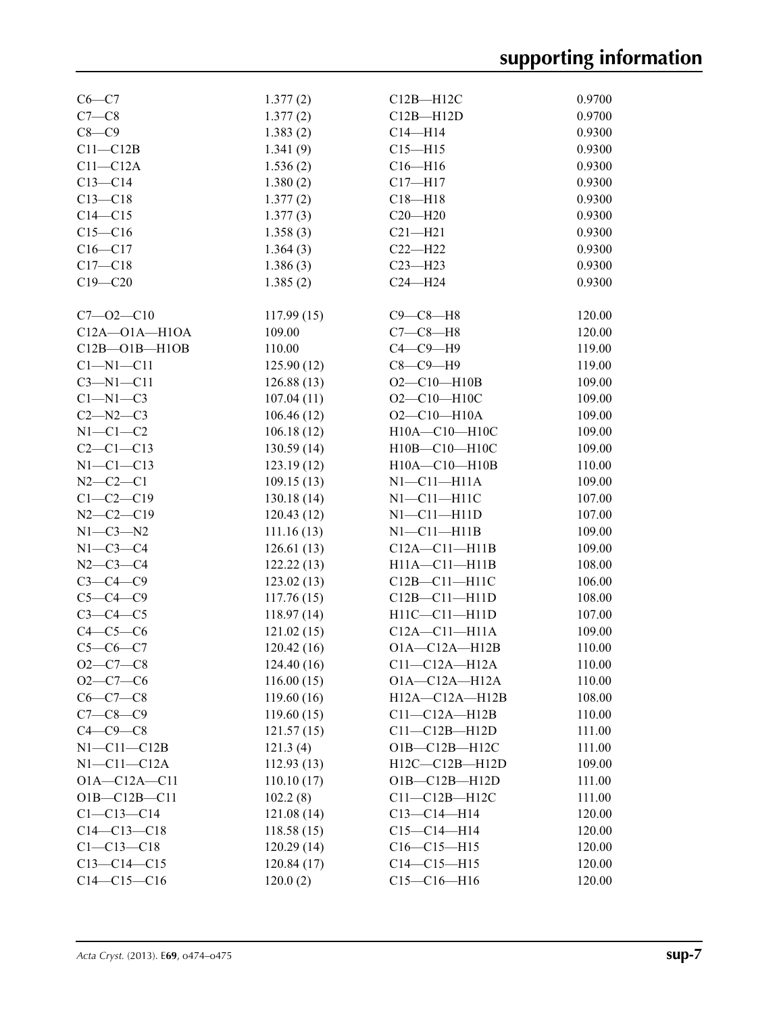| $C6-C7$             | 1.377(2)    | $C12B - H12C$         | 0.9700 |
|---------------------|-------------|-----------------------|--------|
| $C7-C8$             | 1.377(2)    | $C12B - H12D$         | 0.9700 |
| $C8-C9$             | 1.383(2)    | $C14 - H14$           | 0.9300 |
| $C11 - C12B$        | 1.341(9)    | $C15 - H15$           | 0.9300 |
| $C11 - C12A$        | 1.536(2)    | $C16 - H16$           | 0.9300 |
| $C13-C14$           | 1.380(2)    | $C17 - H17$           | 0.9300 |
| $C13 - C18$         | 1.377(2)    | $C18 - H18$           | 0.9300 |
| $C14 - C15$         | 1.377(3)    | $C20 - H20$           | 0.9300 |
| $C15-C16$           | 1.358(3)    | $C21 - H21$           | 0.9300 |
| $C16 - C17$         | 1.364(3)    | $C22-H22$             | 0.9300 |
| $C17 - C18$         |             | $C23 - H23$           | 0.9300 |
|                     | 1.386(3)    |                       |        |
| $C19 - C20$         | 1.385(2)    | $C24 - H24$           | 0.9300 |
| $C7 - 02 - C10$     | 117.99(15)  | $C9-C8-H8$            | 120.00 |
| $C12A - O1A - H1OA$ | 109.00      | $C7-C8-H8$            | 120.00 |
| $C12B - O1B - H1OB$ | 110.00      | $C4-C9-H9$            | 119.00 |
| $Cl-M1-C11$         | 125.90(12)  | $C8-C9-H9$            | 119.00 |
| $C3 - N1 - C11$     | 126.88(13)  | $O2 - C10 - H10B$     | 109.00 |
| $C1-M1-C3$          | 107.04(11)  | $O2 - C10 - H10C$     | 109.00 |
| $C2-M2-C3$          | 106.46(12)  | $O2 - C10 - H10A$     | 109.00 |
| $N1-C1-C2$          | 106.18(12)  | H10A-C10-H10C         | 109.00 |
| $C2 - C1 - C13$     |             | H10B-C10-H10C         | 109.00 |
|                     | 130.59(14)  |                       |        |
| $N1-C1-C13$         | 123.19(12)  | H10A-C10-H10B         | 110.00 |
| $N2 - C2 - C1$      | 109.15(13)  | $N1$ — $C11$ — $H11A$ | 109.00 |
| $C1 - C2 - C19$     | 130.18(14)  | $N1 - C11 - H11C$     | 107.00 |
| $N2-C2-C19$         | 120.43(12)  | $N1 - C11 - H11D$     | 107.00 |
| $N1-C3-N2$          | 111.16(13)  | $N1 - C11 - H11B$     | 109.00 |
| $N1-C3-C4$          | 126.61(13)  | $C12A - C11 - H11B$   | 109.00 |
| $N2 - C3 - C4$      | 122.22(13)  | $H11A - C11 - H11B$   | 108.00 |
| $C3-C4-C9$          | 123.02(13)  | C12B-C11-H11C         | 106.00 |
| $C5-C4-C9$          | 117.76(15)  | C12B-C11-H11D         | 108.00 |
| $C3-C4-C5$          | 118.97(14)  | $H11C - C11 - H11D$   | 107.00 |
| $C4-C5-C6$          | 121.02(15)  | $C12A - C11 - H11A$   | 109.00 |
| $C5-C6-C7$          | 120.42(16)  | $O1A - C12A - H12B$   | 110.00 |
| $O2 - C7 - C8$      | 124.40 (16) | $C11-C12A-H12A$       | 110.00 |
| $O2-C7-C6$          | 116.00(15)  | $O1A - C12A - H12A$   | 110.00 |
| $C6 - C7 - C8$      | 119.60(16)  | H12A-C12A-H12B        | 108.00 |
| $C7 - C8 - C9$      | 119.60(15)  | $C11-C12A-H12B$       | 110.00 |
| $C4-C9-C8$          | 121.57(15)  | $C11-C12B-H12D$       | 111.00 |
| $N1 - C11 - C12B$   | 121.3(4)    | $O1B - C12B - H12C$   | 111.00 |
| $N1-C11-C12A$       | 112.93(13)  | $H12C-C12B-H12D$      | 109.00 |
| $O1A - C12A - C11$  | 110.10(17)  | $O1B - C12B - H12D$   | 111.00 |
| $O1B - C12B - C11$  | 102.2(8)    | $C11-C12B-H12C$       | 111.00 |
| $C1 - C13 - C14$    | 121.08(14)  | $C13 - C14 - H14$     | 120.00 |
| $C14 - C13 - C18$   | 118.58(15)  | $C15-C14-H14$         | 120.00 |
| $C1 - C13 - C18$    | 120.29(14)  | $C16-C15-H15$         | 120.00 |
| $C13 - C14 - C15$   | 120.84(17)  | $C14 - C15 - H15$     | 120.00 |
| $C14-C15-C16$       | 120.0(2)    | $C15-C16-H16$         | 120.00 |
|                     |             |                       |        |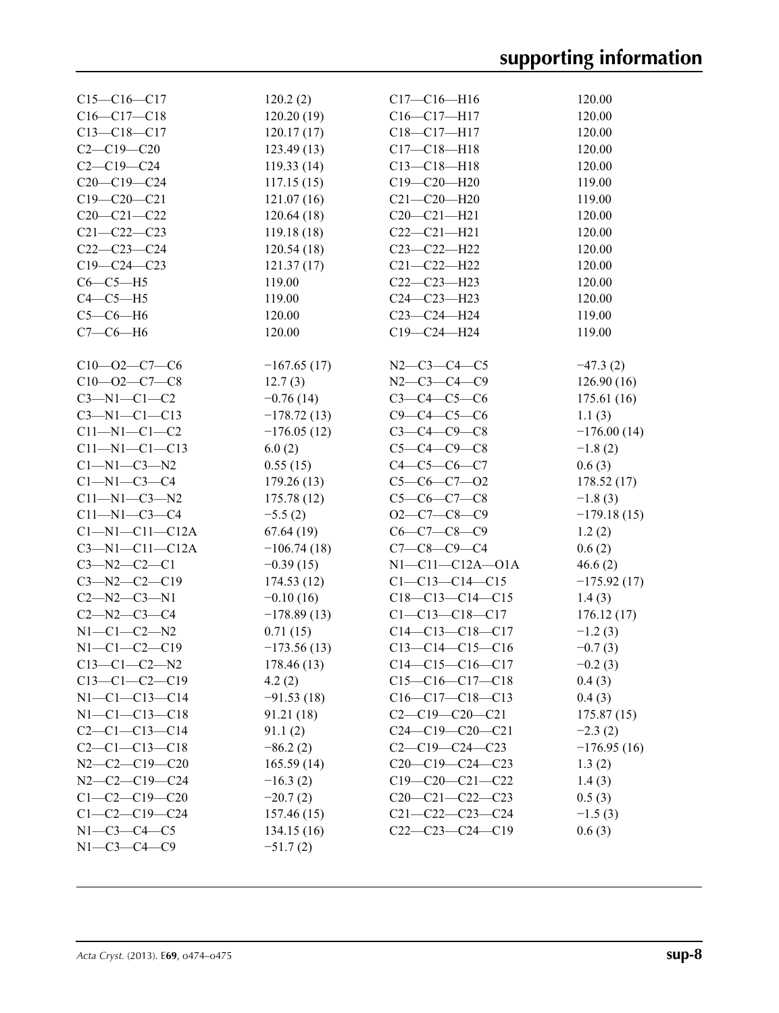| $C15-C16-C17$          | 120.2(2)      | $C17 - C16 - H16$       | 120.00        |
|------------------------|---------------|-------------------------|---------------|
| $C16 - C17 - C18$      | 120.20(19)    | C16-C17-H17             | 120.00        |
| $C13 - C18 - C17$      | 120.17(17)    | C18-C17-H17             | 120.00        |
| $C2 - C19 - C20$       | 123.49(13)    | $C17 - C18 - H18$       | 120.00        |
| $C2 - C19 - C24$       | 119.33(14)    | $C13 - C18 - H18$       | 120.00        |
| $C20-C19-C24$          | 117.15(15)    | $C19 - C20 - H20$       | 119.00        |
| $C19 - C20 - C21$      | 121.07(16)    | $C21 - C20 - H20$       | 119.00        |
| $C20 - C21 - C22$      | 120.64(18)    | $C20 - C21 - H21$       | 120.00        |
| $C21 - C22 - C23$      | 119.18(18)    | $C22-C21-H21$           | 120.00        |
| $C22-C23-C24$          | 120.54(18)    | C23-C22-H22             | 120.00        |
| $C19 - C24 - C23$      | 121.37(17)    | $C21 - C22 - H22$       | 120.00        |
| $C6-C5-H5$             | 119.00        | $C22-C23-H23$           | 120.00        |
| $C4-C5-H5$             | 119.00        | $C24 - C23 - H23$       | 120.00        |
| $C5-C6-H6$             | 120.00        | C23-C24-H24             | 119.00        |
| $C7-C6-H6$             | 120.00        | C19-C24-H24             | 119.00        |
|                        |               |                         |               |
| $C10 - 02 - C7 - C6$   | $-167.65(17)$ | $N2-C3-C4-C5$           | $-47.3(2)$    |
| $C10 - 02 - C7 - C8$   | 12.7(3)       | $N2 - C3 - C4 - C9$     | 126.90(16)    |
| $C3-M1-C1-C2$          | $-0.76(14)$   | $C3 - C4 - C5 - C6$     | 175.61 (16)   |
| $C3 - N1 - C1 - C13$   | $-178.72(13)$ | $C9 - C4 - C5 - C6$     | 1.1(3)        |
| $C11 - N1 - C1 - C2$   | $-176.05(12)$ | $C3 - C4 - C9 - C8$     | $-176.00(14)$ |
| $C11 - N1 - C1 - C13$  | 6.0(2)        | $C5 - C4 - C9 - C8$     | $-1.8(2)$     |
| $C1-M1-C3-M2$          | 0.55(15)      | $C4 - C5 - C6 - C7$     | 0.6(3)        |
| $C1 - N1 - C3 - C4$    | 179.26(13)    | $C5-C6-C7-O2$           | 178.52(17)    |
| $C11 - N1 - C3 - N2$   | 175.78(12)    | $C5-C6-C7-C8$           | $-1.8(3)$     |
| $C11 - N1 - C3 - C4$   | $-5.5(2)$     | $O2-C7-C8-C9$           | $-179.18(15)$ |
| $C1 - N1 - C11 - C12A$ | 67.64(19)     | $C6 - C7 - C8 - C9$     | 1.2(2)        |
| $C3 - N1 - C11 - C12A$ | $-106.74(18)$ | $C7 - C8 - C9 - C4$     | 0.6(2)        |
| $C3 - N2 - C2 - C1$    | $-0.39(15)$   | $N1 - C11 - C12A - O1A$ | 46.6(2)       |
| $C3 - N2 - C2 - C19$   | 174.53(12)    | $C1 - C13 - C14 - C15$  | $-175.92(17)$ |
| $C2 - N2 - C3 - N1$    | $-0.10(16)$   | $C18-C13-C14-C15$       | 1.4(3)        |
| $C2 - N2 - C3 - C4$    | $-178.89(13)$ | $C1 - C13 - C18 - C17$  | 176.12(17)    |
| $N1 - C1 - C2 - N2$    | 0.71(15)      | $C14-C13-C18-C17$       | $-1.2(3)$     |
| $N1 - C1 - C2 - C19$   | $-173.56(13)$ | $C13-C14-C15-C16$       | $-0.7(3)$     |
| $C13-C1-C2-N2$         | 178.46 (13)   | $C14-C15-C16-C17$       | $-0.2(3)$     |
| $C13-C1-C2-C19$        | 4.2(2)        | $C15-C16-C17-C18$       | 0.4(3)        |
| $N1 - C1 - C13 - C14$  | $-91.53(18)$  | $C16-C17-C18-C13$       | 0.4(3)        |
| $N1 - C1 - C13 - C18$  | 91.21 (18)    | $C2-C19-C20-C21$        | 175.87(15)    |
| $C2 - C1 - C13 - C14$  | 91.1(2)       | $C24-C19-C20-C21$       | $-2.3(2)$     |
| $C2 - C1 - C13 - C18$  | $-86.2(2)$    | $C2-C19-C24-C23$        | $-176.95(16)$ |
| $N2-C2-C19-C20$        | 165.59(14)    | $C20-C19-C24-C23$       | 1.3(2)        |
| $N2-C2-C19-C24$        | $-16.3(2)$    | $C19-C20-C21-C22$       | 1.4(3)        |
| $C1-C2-C19-C20$        | $-20.7(2)$    | $C20-C21-C22-C23$       | 0.5(3)        |
| $C1 - C2 - C19 - C24$  | 157.46(15)    | $C21 - C22 - C23 - C24$ | $-1.5(3)$     |
| $N1 - C3 - C4 - C5$    | 134.15(16)    | $C22-C23-C24-C19$       | 0.6(3)        |
| $N1 - C3 - C4 - C9$    | $-51.7(2)$    |                         |               |
|                        |               |                         |               |